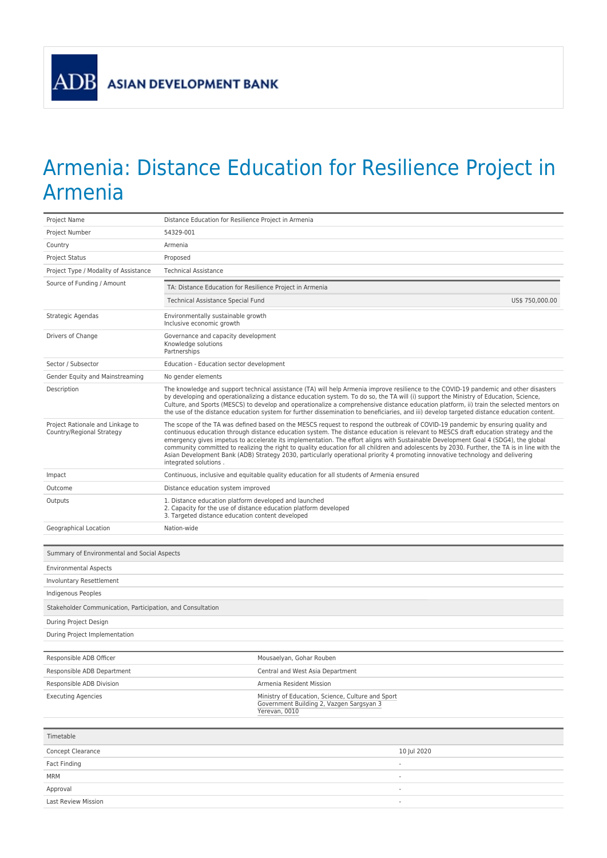ADB

## Armenia: Distance Education for Resilience Project in Armenia

| Project Name                                                  | Distance Education for Resilience Project in Armenia                                                                                                                                                                                                                                                                                                                                                                                                                                                                                                                                                                                                                                                                      |  |
|---------------------------------------------------------------|---------------------------------------------------------------------------------------------------------------------------------------------------------------------------------------------------------------------------------------------------------------------------------------------------------------------------------------------------------------------------------------------------------------------------------------------------------------------------------------------------------------------------------------------------------------------------------------------------------------------------------------------------------------------------------------------------------------------------|--|
| Project Number                                                | 54329-001                                                                                                                                                                                                                                                                                                                                                                                                                                                                                                                                                                                                                                                                                                                 |  |
| Country                                                       | Armenia                                                                                                                                                                                                                                                                                                                                                                                                                                                                                                                                                                                                                                                                                                                   |  |
| <b>Project Status</b>                                         | Proposed                                                                                                                                                                                                                                                                                                                                                                                                                                                                                                                                                                                                                                                                                                                  |  |
| Project Type / Modality of Assistance                         | <b>Technical Assistance</b>                                                                                                                                                                                                                                                                                                                                                                                                                                                                                                                                                                                                                                                                                               |  |
| Source of Funding / Amount                                    | TA: Distance Education for Resilience Project in Armenia                                                                                                                                                                                                                                                                                                                                                                                                                                                                                                                                                                                                                                                                  |  |
|                                                               | US\$ 750,000.00<br>Technical Assistance Special Fund                                                                                                                                                                                                                                                                                                                                                                                                                                                                                                                                                                                                                                                                      |  |
| Strategic Agendas                                             | Environmentally sustainable growth<br>Inclusive economic growth                                                                                                                                                                                                                                                                                                                                                                                                                                                                                                                                                                                                                                                           |  |
| Drivers of Change                                             | Governance and capacity development<br>Knowledge solutions<br>Partnerships                                                                                                                                                                                                                                                                                                                                                                                                                                                                                                                                                                                                                                                |  |
| Sector / Subsector                                            | Education - Education sector development                                                                                                                                                                                                                                                                                                                                                                                                                                                                                                                                                                                                                                                                                  |  |
| Gender Equity and Mainstreaming                               | No gender elements                                                                                                                                                                                                                                                                                                                                                                                                                                                                                                                                                                                                                                                                                                        |  |
| Description                                                   | The knowledge and support technical assistance (TA) will help Armenia improve resilience to the COVID-19 pandemic and other disasters<br>by developing and operationalizing a distance education system. To do so, the TA will (i) support the Ministry of Education, Science,<br>Culture, and Sports (MESCS) to develop and operationalize a comprehensive distance education platform, ii) train the selected mentors on<br>the use of the distance education system for further dissemination to beneficiaries, and iii) develop targeted distance education content.                                                                                                                                                  |  |
| Project Rationale and Linkage to<br>Country/Regional Strategy | The scope of the TA was defined based on the MESCS request to respond the outbreak of COVID-19 pandemic by ensuring quality and<br>continuous education through distance education system. The distance education is relevant to MESCS draft education strategy and the<br>emergency gives impetus to accelerate its implementation. The effort aligns with Sustainable Development Goal 4 (SDG4), the global<br>community committed to realizing the right to quality education for all children and adolescents by 2030. Further, the TA is in line with the<br>Asian Development Bank (ADB) Strategy 2030, particularly operational priority 4 promoting innovative technology and delivering<br>integrated solutions. |  |
| Impact                                                        | Continuous, inclusive and equitable quality education for all students of Armenia ensured                                                                                                                                                                                                                                                                                                                                                                                                                                                                                                                                                                                                                                 |  |
| Outcome                                                       | Distance education system improved                                                                                                                                                                                                                                                                                                                                                                                                                                                                                                                                                                                                                                                                                        |  |
| Outputs                                                       | 1. Distance education platform developed and launched<br>2. Capacity for the use of distance education platform developed<br>3. Targeted distance education content developed                                                                                                                                                                                                                                                                                                                                                                                                                                                                                                                                             |  |
| Geographical Location                                         | Nation-wide                                                                                                                                                                                                                                                                                                                                                                                                                                                                                                                                                                                                                                                                                                               |  |
| Summary of Environmental and Social Aspects                   |                                                                                                                                                                                                                                                                                                                                                                                                                                                                                                                                                                                                                                                                                                                           |  |
| <b>Environmental Aspects</b>                                  |                                                                                                                                                                                                                                                                                                                                                                                                                                                                                                                                                                                                                                                                                                                           |  |
| Involuntary Resettlement                                      |                                                                                                                                                                                                                                                                                                                                                                                                                                                                                                                                                                                                                                                                                                                           |  |
| Indigenous Peoples                                            |                                                                                                                                                                                                                                                                                                                                                                                                                                                                                                                                                                                                                                                                                                                           |  |
| Stakeholder Communication, Participation, and Consultation    |                                                                                                                                                                                                                                                                                                                                                                                                                                                                                                                                                                                                                                                                                                                           |  |
| During Project Design                                         |                                                                                                                                                                                                                                                                                                                                                                                                                                                                                                                                                                                                                                                                                                                           |  |
| During Project Implementation                                 |                                                                                                                                                                                                                                                                                                                                                                                                                                                                                                                                                                                                                                                                                                                           |  |
|                                                               |                                                                                                                                                                                                                                                                                                                                                                                                                                                                                                                                                                                                                                                                                                                           |  |
| Responsible ADB Officer                                       | Mousaelyan, Gohar Rouben                                                                                                                                                                                                                                                                                                                                                                                                                                                                                                                                                                                                                                                                                                  |  |
| Responsible ADB Department                                    | Central and West Asia Department                                                                                                                                                                                                                                                                                                                                                                                                                                                                                                                                                                                                                                                                                          |  |
| Responsible ADB Division                                      | Armenia Resident Mission                                                                                                                                                                                                                                                                                                                                                                                                                                                                                                                                                                                                                                                                                                  |  |
| <b>Executing Agencies</b>                                     | Ministry of Education, Science, Culture and Sport<br>Government Building 2, Vazgen Sargsyan 3<br>Yerevan, 0010                                                                                                                                                                                                                                                                                                                                                                                                                                                                                                                                                                                                            |  |
| Timetable                                                     |                                                                                                                                                                                                                                                                                                                                                                                                                                                                                                                                                                                                                                                                                                                           |  |
| Concept Clearance                                             | 10 Jul 2020                                                                                                                                                                                                                                                                                                                                                                                                                                                                                                                                                                                                                                                                                                               |  |
| Fact Finding                                                  |                                                                                                                                                                                                                                                                                                                                                                                                                                                                                                                                                                                                                                                                                                                           |  |
| MRM                                                           | $\overline{\phantom{a}}$                                                                                                                                                                                                                                                                                                                                                                                                                                                                                                                                                                                                                                                                                                  |  |
| Approval                                                      | ٠                                                                                                                                                                                                                                                                                                                                                                                                                                                                                                                                                                                                                                                                                                                         |  |
| <b>Last Review Mission</b>                                    |                                                                                                                                                                                                                                                                                                                                                                                                                                                                                                                                                                                                                                                                                                                           |  |